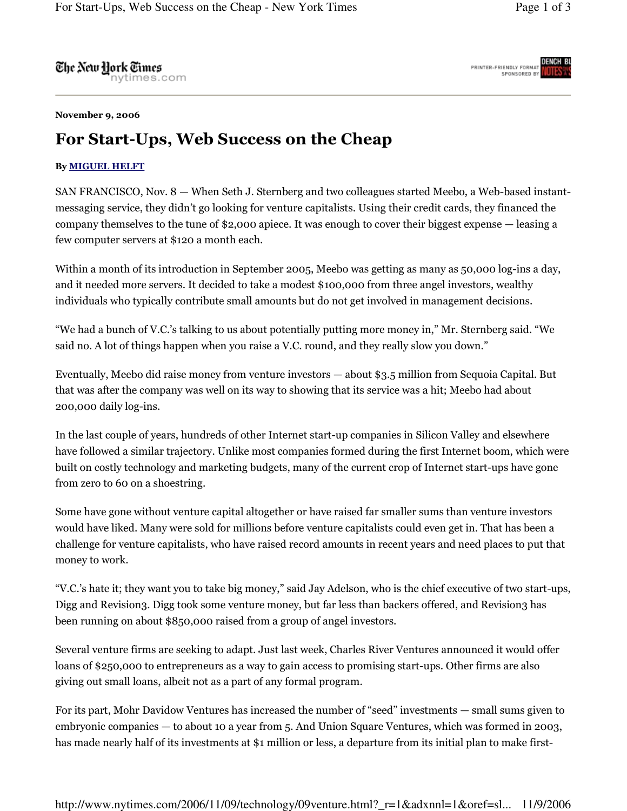## The New Hork Times

es.com



November 9, 2006

## For Start-Ups, Web Success on the Cheap

## **By MIGUEL HELFT**

SAN FRANCISCO, Nov. 8 – When Seth J. Sternberg and two colleagues started Meebo, a Web-based instantmessaging service, they didn't go looking for venture capitalists. Using their credit cards, they financed the company themselves to the tune of \$2,000 apiece. It was enough to cover their biggest expense — leasing a few computer servers at \$120 a month each.

Within a month of its introduction in September 2005, Meebo was getting as many as 50,000 log-ins a day, and it needed more servers. It decided to take a modest \$100,000 from three angel investors, wealthy individuals who typically contribute small amounts but do not get involved in management decisions.

"We had a bunch of V.C.'s talking to us about potentially putting more money in," Mr. Sternberg said. "We said no. A lot of things happen when you raise a V.C. round, and they really slow you down."

Eventually, Meebo did raise money from venture investors — about \$3.5 million from Sequoia Capital. But that was after the company was well on its way to showing that its service was a hit; Meebo had about 200,000 daily log-ins.

In the last couple of years, hundreds of other Internet start-up companies in Silicon Valley and elsewhere have followed a similar trajectory. Unlike most companies formed during the first Internet boom, which were built on costly technology and marketing budgets, many of the current crop of Internet start-ups have gone from zero to 60 on a shoestring.

Some have gone without venture capital altogether or have raised far smaller sums than venture investors would have liked. Many were sold for millions before venture capitalists could even get in. That has been a challenge for venture capitalists, who have raised record amounts in recent years and need places to put that money to work.

"V.C.'s hate it; they want you to take big money," said Jay Adelson, who is the chief executive of two start-ups, Digg and Revision3. Digg took some venture money, but far less than backers offered, and Revision3 has been running on about \$850,000 raised from a group of angel investors.

Several venture firms are seeking to adapt. Just last week, Charles River Ventures announced it would offer loans of \$250,000 to entrepreneurs as a way to gain access to promising start-ups. Other firms are also giving out small loans, albeit not as a part of any formal program.

For its part, Mohr Davidow Ventures has increased the number of "seed" investments — small sums given to embryonic companies — to about 10 a year from 5. And Union Square Ventures, which was formed in 2003, has made nearly half of its investments at \$1 million or less, a departure from its initial plan to make first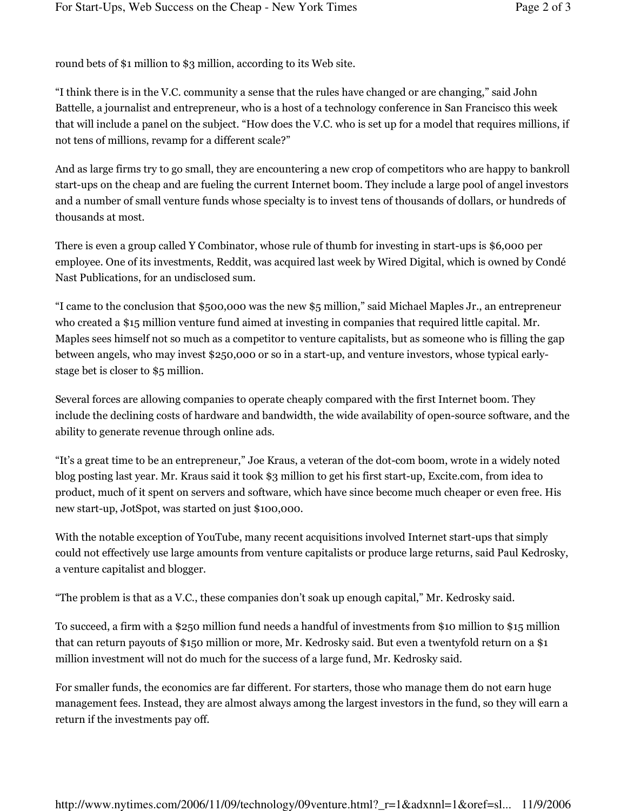round bets of \$1 million to \$3 million, according to its Web site.

"I think there is in the V.C. community a sense that the rules have changed or are changing," said John Battelle, a journalist and entrepreneur, who is a host of a technology conference in San Francisco this week that will include a panel on the subject. "How does the V.C. who is set up for a model that requires millions, if not tens of millions, revamp for a different scale?"

And as large firms try to go small, they are encountering a new crop of competitors who are happy to bankroll start-ups on the cheap and are fueling the current Internet boom. They include a large pool of angel investors and a number of small venture funds whose specialty is to invest tens of thousands of dollars, or hundreds of thousands at most.

There is even a group called Y Combinator, whose rule of thumb for investing in start-ups is \$6,000 per employee. One of its investments, Reddit, was acquired last week by Wired Digital, which is owned by Condé Nast Publications, for an undisclosed sum.

"I came to the conclusion that \$500,000 was the new \$5 million," said Michael Maples Jr., an entrepreneur who created a \$15 million venture fund aimed at investing in companies that required little capital. Mr. Maples sees himself not so much as a competitor to venture capitalists, but as someone who is filling the gap between angels, who may invest \$250,000 or so in a start-up, and venture investors, whose typical earlystage bet is closer to \$5 million.

Several forces are allowing companies to operate cheaply compared with the first Internet boom. They include the declining costs of hardware and bandwidth, the wide availability of open-source software, and the ability to generate revenue through online ads.

"It's a great time to be an entrepreneur," Joe Kraus, a veteran of the dot-com boom, wrote in a widely noted blog posting last year. Mr. Kraus said it took \$3 million to get his first start-up, Excite.com, from idea to product, much of it spent on servers and software, which have since become much cheaper or even free. His new start-up, JotSpot, was started on just \$100,000.

With the notable exception of YouTube, many recent acquisitions involved Internet start-ups that simply could not effectively use large amounts from venture capitalists or produce large returns, said Paul Kedrosky, a venture capitalist and blogger.

"The problem is that as a V.C., these companies don't soak up enough capital," Mr. Kedrosky said.

To succeed, a firm with a \$250 million fund needs a handful of investments from \$10 million to \$15 million that can return payouts of \$150 million or more, Mr. Kedrosky said. But even a twentyfold return on a \$1 million investment will not do much for the success of a large fund, Mr. Kedrosky said.

For smaller funds, the economics are far different. For starters, those who manage them do not earn huge management fees. Instead, they are almost always among the largest investors in the fund, so they will earn a return if the investments pay off.